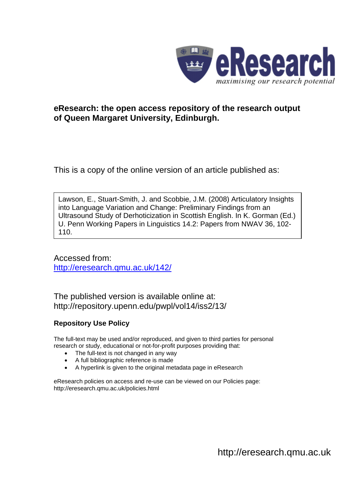

## **eResearch: the open access repository of the research output of Queen Margaret University, Edinburgh.**

This is a copy of the online version of an article published as:

Lawson, E., Stuart-Smith, J. and Scobbie, J.M. (2008) Articulatory Insights into Language Variation and Change: Preliminary Findings from an Ultrasound Study of Derhoticization in Scottish English. In K. Gorman (Ed.) U. Penn Working Papers in Linguistics 14.2: Papers from NWAV 36, 102- 110.

Accessed from: <http://eresearch.qmu.ac.uk/142/>

The published version is available online at: <http://repository.upenn.edu/pwpl/vol14/iss2/13/>

## **Repository Use Policy**

The full-text may be used and/or reproduced, and given to third parties for personal research or study, educational or not-for-profit purposes providing that:

- The full-text is not changed in any way
- A full bibliographic reference is made
- A hyperlink is given to the original metadata page in eResearch

eResearch policies on access and re-use can be viewed on our Policies page: <http://eresearch.qmu.ac.uk/policies.html>

[http://eresearch.qmu.ac.uk](http://eresearch.qmu.ac.uk/)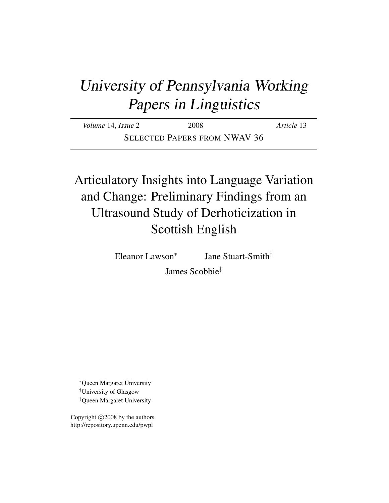# University of Pennsylvania Working Papers in Linguistics

*Volume* 14, *Issue* 2 2008 *Article* 13 SELECTED PAPERS FROM NWAV 36

# Articulatory Insights into Language Variation and Change: Preliminary Findings from an Ultrasound Study of Derhoticization in Scottish English

Eleanor Lawson<sup>∗</sup>

Jane Stuart-Smith†

James Scobbie‡

<sup>∗</sup>Queen Margaret University †University of Glasgow ‡Queen Margaret University

Copyright  $\odot$  2008 by the authors. http://repository.upenn.edu/pwpl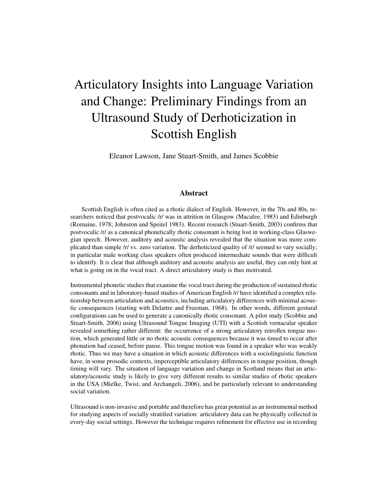# Articulatory Insights into Language Variation and Change: Preliminary Findings from an Ultrasound Study of Derhoticization in Scottish English

Eleanor Lawson, Jane Stuart-Smith, and James Scobbie

### Abstract

Scottish English is often cited as a rhotic dialect of English. However, in the 70s and 80s, researchers noticed that postvocalic /r/ was in attrition in Glasgow (Macafee, 1983) and Edinburgh (Romaine, 1978; Johnston and Speitel 1983). Recent research (Stuart-Smith, 2003) confirms that postvocalic /r/ as a canonical phonetically rhotic consonant is being lost in working-class Glaswegian speech. However, auditory and acoustic analysis revealed that the situation was more complicated than simple /r/ vs. zero variation. The derhoticized quality of /r/ seemed to vary socially; in particular male working class speakers often produced intermediate sounds that were difficult to identify. It is clear that although auditory and acoustic analysis are useful, they can only hint at what is going on in the vocal tract. A direct articulatory study is thus motivated.

Instrumental phonetic studies that examine the vocal tract during the production of sustained rhotic consonants and in laboratory-based studies of American English /r/ have identified a complex relationship between articulation and acoustics, including articulatory differences with minimal acoustic consequences (starting with Delattre and Freeman, 1968). In other words, different gestural configurations can be used to generate a canonically rhotic consonant. A pilot study (Scobbie and Stuart-Smith, 2006) using Ultrasound Tongue Imaging (UTI) with a Scottish vernacular speaker revealed something rather different: the occurrence of a strong articulatory retroflex tongue motion, which generated little or no rhotic acoustic consequences because it was timed to occur after phonation had ceased, before pause. This tongue motion was found in a speaker who was weakly rhotic. Thus we may have a situation in which acoustic differences with a sociolinguistic function have, in some prosodic contexts, imperceptible articulatory differences in tongue position, though timing will vary. The situation of language variation and change in Scotland means that an articulatory/acoustic study is likely to give very different results to similar studies of rhotic speakers in the USA (Mielke, Twist, and Archangeli, 2006), and be particularly relevant to understanding social variation.

Ultrasound is non-invasive and portable and therefore has great potential as an instrumental method for studying aspects of socially stratified variation: articulatory data can be physically collected in every-day social settings. However the technique requires refinement for effective use in recording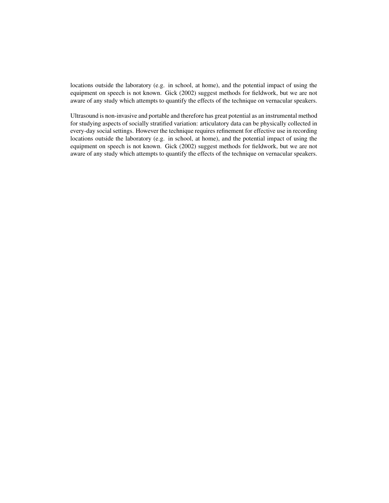locations outside the laboratory (e.g. in school, at home), and the potential impact of using the equipment on speech is not known. Gick (2002) suggest methods for fieldwork, but we are not aware of any study which attempts to quantify the effects of the technique on vernacular speakers.

Ultrasound is non-invasive and portable and therefore has great potential as an instrumental method for studying aspects of socially stratified variation: articulatory data can be physically collected in every-day social settings. However the technique requires refinement for effective use in recording locations outside the laboratory (e.g. in school, at home), and the potential impact of using the equipment on speech is not known. Gick (2002) suggest methods for fieldwork, but we are not aware of any study which attempts to quantify the effects of the technique on vernacular speakers.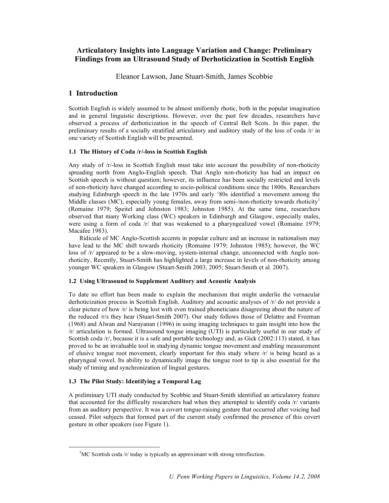## **Articulatory Insights into Language Variation and Change: Preliminary Findings from an Ultrasound Study of Derhoticization in Scottish English**

Eleanor Lawson, Jane Stuart-Smith, James Scobbie

## **1 Introduction**

Scottish English is widely assumed to be almost uniformly rhotic, both in the popular imagination and in general linguistic descriptions. However, over the past few decades, researchers have observed a process of derhoticization in the speech of Central Belt Scots. In this paper, the preliminary results of a socially stratified articulatory and auditory study of the loss of coda /r/ in one variety of Scottish English will be presented.

#### **1.1 The History of Coda /r/-loss in Scottish English**

Any study of /r/-loss in Scottish English must take into account the possibility of non-rhoticity spreading north from Anglo-English speech. That Anglo non-rhoticity has had an impact on Scottish speech is without question; however, its influence has been socially restricted and levels of non-rhoticity have changed according to socio-political conditions since the 1800s. Researchers studying Edinburgh speech in the late 1970s and early '80s identified a movement among the Middle classes (MC), especially young females, away from semi-/non-rhoticity towards rhoticity<sup>1</sup> (Romaine 1979; Speitel and Johnston 1983; Johnston 1985). At the same time, researchers observed that many Working class (WC) speakers in Edinburgh and Glasgow, especially males, were using a form of coda /r/ that was weakened to a pharyngealized vowel (Romaine 1979; Macafee 1983).

Ridicule of MC Anglo-Scottish accents in popular culture and an increase in nationalism may have lead to the MC shift towards rhoticity (Romaine 1979; Johnston 1985); however, the WC loss of /r/ appeared to be a slow-moving, system-internal change, unconnected with Anglo nonrhoticity. Recently, Stuart-Smith has highlighted a large increase in levels of non-rhoticity among younger WC speakers in Glasgow (Stuart-Smith 2003, 2005; Stuart-Smith et al. 2007).

#### **1.2 Using Ultrasound to Supplement Auditory and Acoustic Analysis**

To date no effort has been made to explain the mechanism that might underlie the vernacular derhoticization process in Scottish English. Auditory and acoustic analyses of /r/ do not provide a clear picture of how /r/ is being lost with even trained phoneticians disagreeing about the nature of the reduced /r/s they hear (Stuart-Smith 2007). Our study follows those of Delattre and Freeman (1968) and Alwan and Narayanan (1996) in using imaging techniques to gain insight into how the /r/ articulation is formed. Ultrasound tongue imaging (UTI) is particularly useful in our study of Scottish coda /r/, because it is a safe and portable technology and, as Gick (2002:113) stated, it has proved to be an invaluable tool in studying dynamic tongue movement and enabling measurement of elusive tongue root movement, clearly important for this study where /r/ is being heard as a pharyngeal vowel. Its ability to dynamically image the tongue root to tip is also essential for the study of timing and synchronization of lingual gestures.

## **1.3 The Pilot Study: Identifying a Temporal Lag**

A preliminary UTI study conducted by Scobbie and Stuart-Smith identified an articulatory feature that accounted for the difficulty researchers had when they attempted to identify coda /r/ variants from an auditory perspective. It was a covert tongue-raising gesture that occurred after voicing had ceased. Pilot subjects that formed part of the current study confirmed the presence of this covert gesture in other speakers (see Figure 1).

 <sup>1</sup>  ${}^{1}$ MC Scottish coda /r/ today is typically an approximant with strong retroflection.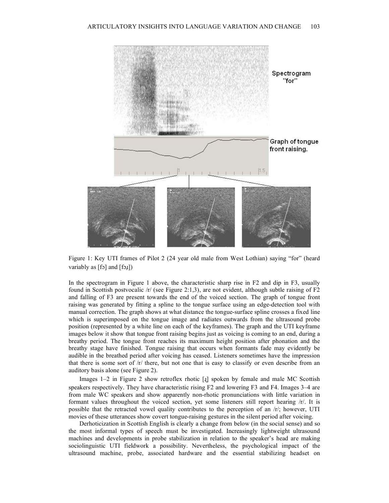

Figure 1: Key UTI frames of Pilot 2 (24 year old male from West Lothian) saying "for" (heard variably as [fɔ] and [fɔɪ])

In the spectrogram in Figure 1 above, the characteristic sharp rise in F2 and dip in F3, usually found in Scottish postvocalic /r/ (see Figure 2:1,3), are not evident, although subtle raising of F2 and falling of F3 are present towards the end of the voiced section. The graph of tongue front raising was generated by fitting a spline to the tongue surface using an edge-detection tool with manual correction. The graph shows at what distance the tongue-surface spline crosses a fixed line which is superimposed on the tongue image and radiates outwards from the ultrasound probe position (represented by a white line on each of the keyframes). The graph and the UTI keyframe images below it show that tongue front raising begins just as voicing is coming to an end, during a breathy period. The tongue front reaches its maximum height position after phonation and the breathy stage have finished. Tongue raising that occurs when formants fade may evidently be audible in the breathed period after voicing has ceased. Listeners sometimes have the impression that there is some sort of  $/r$  there, but not one that is easy to classify or even describe from an auditory basis alone (see Figure 2).

Images 1–2 in Figure 2 show retroflex rhotic [ɻ] spoken by female and male MC Scottish speakers respectively. They have characteristic rising F2 and lowering F3 and F4. Images 3–4 are from male WC speakers and show apparently non-rhotic pronunciations with little variation in formant values throughout the voiced section, yet some listeners still report hearing /r/. It is possible that the retracted vowel quality contributes to the perception of an /r/; however, UTI movies of these utterances show covert tongue-raising gestures in the silent period after voicing.

Derhoticization in Scottish English is clearly a change from below (in the social sense) and so the most informal types of speech must be investigated. Increasingly lightweight ultrasound machines and developments in probe stabilization in relation to the speaker's head are making sociolinguistic UTI fieldwork a possibility. Nevertheless, the psychological impact of the ultrasound machine, probe, associated hardware and the essential stabilizing headset on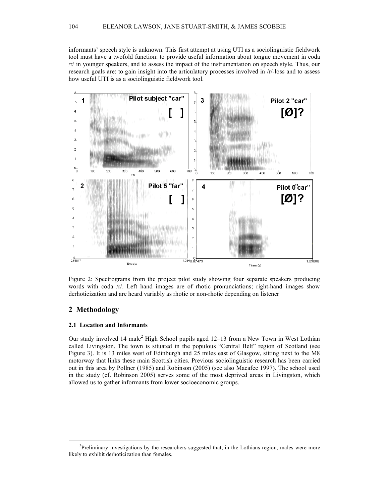informants' speech style is unknown. This first attempt at using UTI as a sociolinguistic fieldwork tool must have a twofold function: to provide useful information about tongue movement in coda /r/ in younger speakers, and to assess the impact of the instrumentation on speech style. Thus, our research goals are: to gain insight into the articulatory processes involved in /r/-loss and to assess how useful UTI is as a sociolinguistic fieldwork tool.



Figure 2: Spectrograms from the project pilot study showing four separate speakers producing words with coda /r/. Left hand images are of rhotic pronunciations; right-hand images show derhoticization and are heard variably as rhotic or non-rhotic depending on listener

### **2 Methodology**

#### **2.1 Location and Informants**

Our study involved 14 male<sup>2</sup> High School pupils aged 12–13 from a New Town in West Lothian called Livingston. The town is situated in the populous "Central Belt" region of Scotland (see Figure 3). It is 13 miles west of Edinburgh and 25 miles east of Glasgow, sitting next to the M8 motorway that links these main Scottish cities. Previous sociolinguistic research has been carried out in this area by Pollner (1985) and Robinson (2005) (see also Macafee 1997). The school used in the study (cf. Robinson 2005) serves some of the most deprived areas in Livingston, which allowed us to gather informants from lower socioeconomic groups.

 <sup>2</sup>  $P<sup>2</sup>$ Preliminary investigations by the researchers suggested that, in the Lothians region, males were more likely to exhibit derhoticization than females.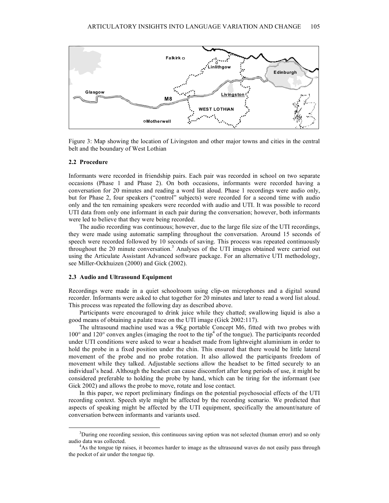

Figure 3: Map showing the location of Livingston and other major towns and cities in the central belt and the boundary of West Lothian

#### **2.2 Procedure**

Informants were recorded in friendship pairs. Each pair was recorded in school on two separate occasions (Phase 1 and Phase 2). On both occasions, informants were recorded having a conversation for 20 minutes and reading a word list aloud. Phase 1 recordings were audio only, but for Phase 2, four speakers ("control" subjects) were recorded for a second time with audio only and the ten remaining speakers were recorded with audio and UTI. It was possible to record UTI data from only one informant in each pair during the conversation; however, both informants were led to believe that they were being recorded.

The audio recording was continuous; however, due to the large file size of the UTI recordings, they were made using automatic sampling throughout the conversation. Around 15 seconds of speech were recorded followed by 10 seconds of saving. This process was repeated continuously throughout the 20 minute conversation.<sup>3</sup> Analyses of the UTI images obtained were carried out using the Articulate Assistant Advanced software package. For an alternative UTI methodology, see Miller-Ockhuizen (2000) and Gick (2002).

#### **2.3 Audio and Ultrasound Equipment**

Recordings were made in a quiet schoolroom using clip-on microphones and a digital sound recorder. Informants were asked to chat together for 20 minutes and later to read a word list aloud. This process was repeated the following day as described above.

Participants were encouraged to drink juice while they chatted; swallowing liquid is also a good means of obtaining a palate trace on the UTI image (Gick 2002:117).

The ultrasound machine used was a 9Kg portable Concept M6, fitted with two probes with 100° and 120° convex angles (imaging the root to the tip<sup>4</sup> of the tongue). The participants recorded under UTI conditions were asked to wear a headset made from lightweight aluminium in order to hold the probe in a fixed position under the chin. This ensured that there would be little lateral movement of the probe and no probe rotation. It also allowed the participants freedom of movement while they talked. Adjustable sections allow the headset to be fitted securely to an individual's head. Although the headset can cause discomfort after long periods of use, it might be considered preferable to holding the probe by hand, which can be tiring for the informant (see Gick 2002) and allows the probe to move, rotate and lose contact.

In this paper, we report preliminary findings on the potential psychosocial effects of the UTI recording context. Speech style might be affected by the recording scenario. We predicted that aspects of speaking might be affected by the UTI equipment, specifically the amount/nature of conversation between informants and variants used.

 <sup>3</sup> <sup>3</sup>During one recording session, this continuous saving option was not selected (human error) and so only audio data was collected. <sup>4</sup>

<sup>&</sup>lt;sup>4</sup>As the tongue tip raises, it becomes harder to image as the ultrasound waves do not easily pass through the pocket of air under the tongue tip.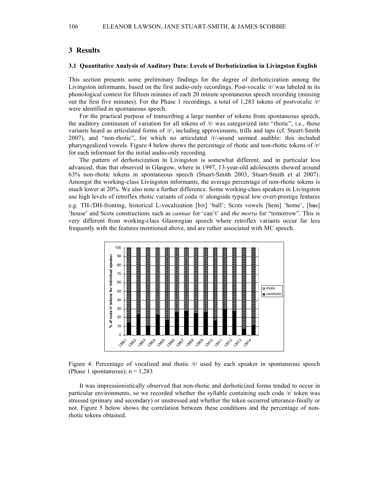### **3 Results**

#### **3.1 Quantitative Analysis of Auditory Data: Levels of Derhoticization in Livingston English**

This section presents some preliminary findings for the degree of derhoticization among the Livingston informants, based on the first audio-only recordings. Post-vocalic /r/ was labeled in its phonological context for fifteen minutes of each 20 minute spontaneous speech recording (missing out the first five minutes). For the Phase 1 recordings, a total of 1,283 tokens of postvocalic /r/ were identified in spontaneous speech.

For the practical purpose of transcribing a large number of tokens from spontaneous speech, the auditory continuum of variation for all tokens of  $/r$  was categorized into "rhotic", i.e., those variants heard as articulated forms of /r/, including approximants, trills and taps (cf. Stuart-Smith 2007), and "non-rhotic", for which no articulated /r/-sound seemed audible: this included pharyngealized vowels. Figure 4 below shows the percentage of rhotic and non-rhotic tokens of /r/ for each informant for the initial audio-only recording.

The pattern of derhoticization in Livingston is somewhat different, and in particular less advanced, than that observed in Glasgow, where in 1997, 13-year-old adolescents showed around 63% non-rhotic tokens in spontaneous speech (Stuart-Smith 2003, Stuart-Smith et al 2007). Amongst the working-class Livingston informants, the average percentage of non-rhotic tokens is much lower at 20%. We also note a further difference. Some working-class speakers in Livingston use high levels of retroflex rhotic variants of coda /r/ alongside typical low overt-prestige features e.g. TH-/DH-fronting, historical L-vocalization [bɔː] 'ball'; Scots vowels [hem] 'home', [hus] 'house' and Scots constructions such as *cannae* for 'can't' and *the morra* for "tomorrow". This is very different from working-class Glaswegian speech where retroflex variants occur far less frequently with the features mentioned above, and are rather associated with MC speech.



Figure 4: Percentage of vocalized and rhotic /r/ used by each speaker in spontaneous speech (Phase 1 spontaneous);  $n = 1,283$ 

It was impressionistically observed that non-rhotic and derhoticized forms tended to occur in particular environments, so we recorded whether the syllable containing each coda /r/ token was stressed (primary and secondary) or unstressed and whether the token occurred utterance-finally or not. Figure 5 below shows the correlation between these conditions and the percentage of nonrhotic tokens obtained.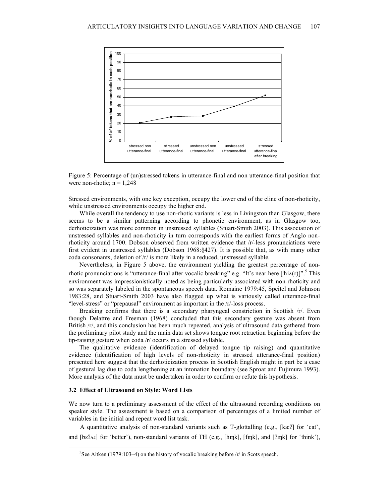

Figure 5: Percentage of (un)stressed tokens in utterance-final and non utterance-final position that were non-rhotic;  $n = 1,248$ 

Stressed environments, with one key exception, occupy the lower end of the cline of non-rhoticity, while unstressed environments occupy the higher end.

While overall the tendency to use non-rhotic variants is less in Livingston than Glasgow, there seems to be a similar patterning according to phonetic environment, as in Glasgow too, derhoticization was more common in unstressed syllables (Stuart-Smith 2003). This association of unstressed syllables and non-rhoticity in turn corresponds with the earliest forms of Anglo nonrhoticity around 1700. Dobson observed from written evidence that /r/-less pronunciations were first evident in unstressed syllables (Dobson 1968:§427). It is possible that, as with many other coda consonants, deletion of /r/ is more likely in a reduced, unstressed syllable.

Nevertheless, in Figure 5 above, the environment yielding the greatest percentage of nonrhotic pronunciations is "utterance-final after vocalic breaking" e.g. "It's near here  $[\text{hiA}(r)]$ ". This environment was impressionistically noted as being particularly associated with non-rhoticity and so was separately labeled in the spontaneous speech data. Romaine 1979:45, Speitel and Johnson 1983:28, and Stuart-Smith 2003 have also flagged up what is variously called utterance-final "level-stress" or "prepausal" environment as important in the /r/-loss process.

Breaking confirms that there is a secondary pharyngeal constriction in Scottish /r/. Even though Delattre and Freeman (1968) concluded that this secondary gesture was absent from British /r/, and this conclusion has been much repeated, analysis of ultrasound data gathered from the preliminary pilot study and the main data set shows tongue root retraction beginning before the tip-raising gesture when coda /r/ occurs in a stressed syllable.

The qualitative evidence (identification of delayed tongue tip raising) and quantitative evidence (identification of high levels of non-rhoticity in stressed utterance-final position) presented here suggest that the derhoticization process in Scottish English might in part be a case of gestural lag due to coda lengthening at an intonation boundary (see Sproat and Fujimura 1993). More analysis of the data must be undertaken in order to confirm or refute this hypothesis.

#### **3.2 Effect of Ultrasound on Style: Word Lists**

We now turn to a preliminary assessment of the effect of the ultrasound recording conditions on speaker style. The assessment is based on a comparison of percentages of a limited number of variables in the initial and repeat word list task.

A quantitative analysis of non-standard variants such as T-glottalling (e.g., [kæʔ] for 'cat', and [bɛʔʌɹ] for 'better'), non-standard variants of TH (e.g., [hɪŋk], [fɪŋk], and [ʔɪŋk] for 'think'),

 $rac{1}{5}$ <sup>5</sup>See Aitken (1979:103–4) on the history of vocalic breaking before  $\pi$  in Scots speech.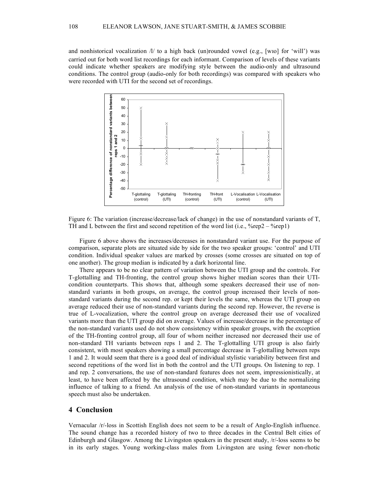and nonhistorical vocalization  $\frac{1}{t}$  to a high back (un)rounded vowel (e.g., [wio] for 'will') was carried out for both word list recordings for each informant. Comparison of levels of these variants could indicate whether speakers are modifying style between the audio-only and ultrasound conditions. The control group (audio-only for both recordings) was compared with speakers who were recorded with UTI for the second set of recordings.



Figure 6: The variation (increase/decrease/lack of change) in the use of nonstandard variants of T, TH and L between the first and second repetition of the word list (i.e.,  $\%$ rep2 –  $\%$ rep1)

Figure 6 above shows the increases/decreases in nonstandard variant use. For the purpose of comparison, separate plots are situated side by side for the two speaker groups: 'control' and UTI condition. Individual speaker values are marked by crosses (some crosses are situated on top of one another). The group median is indicated by a dark horizontal line.

There appears to be no clear pattern of variation between the UTI group and the controls. For T-glottalling and TH-fronting, the control group shows higher median scores than their UTIcondition counterparts. This shows that, although some speakers decreased their use of nonstandard variants in both groups, on average, the control group increased their levels of nonstandard variants during the second rep. or kept their levels the same, whereas the UTI group on average reduced their use of non-standard variants during the second rep. However, the reverse is true of L-vocalization, where the control group on average decreased their use of vocalized variants more than the UTI group did on average. Values of increase/decrease in the percentage of the non-standard variants used do not show consistency within speaker groups, with the exception of the TH-fronting control group, all four of whom neither increased nor decreased their use of non-standard TH variants between reps 1 and 2. The T-glottalling UTI group is also fairly consistent, with most speakers showing a small percentage decrease in T-glottalling between reps 1 and 2. It would seem that there is a good deal of individual stylistic variability between first and second repetitions of the word list in both the control and the UTI groups. On listening to rep. 1 and rep. 2 conversations, the use of non-standard features does not seem, impressionistically, at least, to have been affected by the ultrasound condition, which may be due to the normalizing influence of talking to a friend. An analysis of the use of non-standard variants in spontaneous speech must also be undertaken.

### **4 Conclusion**

Vernacular /r/-loss in Scottish English does not seem to be a result of Anglo-English influence. The sound change has a recorded history of two to three decades in the Central Belt cities of Edinburgh and Glasgow. Among the Livingston speakers in the present study, /r/-loss seems to be in its early stages. Young working-class males from Livingston are using fewer non-rhotic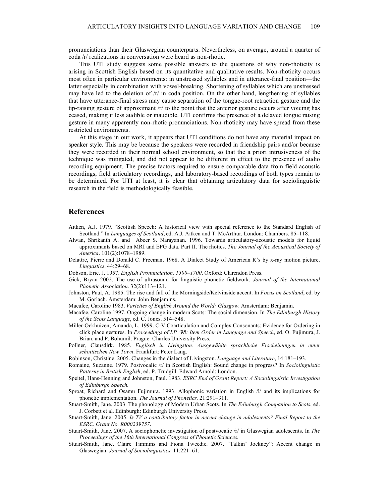pronunciations than their Glaswegian counterparts. Nevertheless, on average, around a quarter of coda /r/ realizations in conversation were heard as non-rhotic.

This UTI study suggests some possible answers to the questions of why non-rhoticity is arising in Scottish English based on its quantitative and qualitative results. Non-rhoticity occurs most often in particular environments: in unstressed syllables and in utterance-final position—the latter especially in combination with vowel-breaking. Shortening of syllables which are unstressed may have led to the deletion of  $/r/$  in coda position. On the other hand, lengthening of syllables that have utterance-final stress may cause separation of the tongue-root retraction gesture and the tip-raising gesture of approximant /r/ to the point that the anterior gesture occurs after voicing has ceased, making it less audible or inaudible. UTI confirms the presence of a delayed tongue raising gesture in many apparently non-rhotic pronunciations. Non-rhoticity may have spread from these restricted environments.

At this stage in our work, it appears that UTI conditions do not have any material impact on speaker style. This may be because the speakers were recorded in friendship pairs and/or because they were recorded in their normal school environment, so that the a priori intrusiveness of the technique was mitigated, and did not appear to be different in effect to the presence of audio recording equipment. The precise factors required to ensure comparable data from field acoustic recordings, field articulatory recordings, and laboratory-based recordings of both types remain to be determined. For UTI at least, it is clear that obtaining articulatory data for sociolinguistic research in the field is methodologically feasible.

#### **References**

- Aitken, A.J. 1979. "Scottish Speech: A historical view with special reference to the Standard English of Scotland." In *Languages of Scotland*, ed. A.J. Aitken and T. McArthur. London: Chambers. 85–118.
- Alwan, Shrikanth A. and Abeer S. Narayanan. 1996. Towards articulatory-acoustic models for liquid approximants based on MRI and EPG data. Part II. The rhotics. *The Journal of the Acoustical Society of America*. 101(2):1078–1989.
- Delattre, Pierre and Donald C. Freeman. 1968. A Dialect Study of American R's by x-ray motion picture. *Linguistics*. 44:29–68.
- Dobson, Eric. J. 1957. *English Pronunciation, 1500*–*1700*. Oxford: Clarendon Press.
- Gick, Bryan 2002. The use of ultrasound for linguistic phonetic fieldwork. *Journal of the International Phonetic Association*. 32(2):113–121.
- Johnston, Paul, A. 1985. The rise and fall of the Morningside/Kelvinside accent. In *Focus on Scotland*, ed. by M. Gorlach. Amsterdam: John Benjamins.
- Macafee, Caroline 1983. *Varieties of English Around the World: Glasgow*. Amsterdam: Benjamin.
- Macafee, Caroline 1997. Ongoing change in modern Scots: The social dimension. In *The Edinburgh History of the Scots Language*, ed. C. Jones. 514–548.
- Miller-Ockhuizen, Amanda, L. 1999. C-V Coarticulation and Complex Consonants: Evidence for Ordering in click place gestures. In *Proceedings of LP '98: Item Order in Language and Speech*, ed. O. Fujimura, J. Brian, and P. Bohumil. Prague: Charles University Press.
- Pollner, Clausdirk. 1985. *Englisch in Livingston. Ausgewählte sprachliche Erscheinungen in einer schottischen New Town*. Frankfurt: Peter Lang.
- Robinson, Christine. 2005. Changes in the dialect of Livingston. *Language and Literature*, 14:181–193.
- Romaine, Suzanne. 1979. Postvocalic /r/ in Scottish English: Sound change in progress? In *Sociolinguistic Patterns in British English*, ed. P. Trudgill. Edward Arnold: London.
- Speitel, Hans-Henning and Johnston, Paul. 1983. *ESRC End of Grant Report: A Sociolinguistic Investigation of Edinburgh Speech.*
- Sproat, Richard and Osamu Fujimura. 1993. Allophonic variation in English /l/ and its implications for phonetic implementation. *The Journal of Phonetics,* 21:291–311.
- Stuart-Smith, Jane. 2003. The phonology of Modern Urban Scots. In *The Edinburgh Companion to Scots*, ed. J. Corbett et al. Edinburgh: Edinburgh University Press.
- Stuart-Smith, Jane. 2005. *Is TV a contributory factor in accent change in adolescents? Final Report to the ESRC. Grant No. R000239757*.
- Stuart-Smith, Jane. 2007. A sociophonetic investigation of postvocalic /r/ in Glaswegian adolescents. In *The Proceedings of the 16th International Congress of Phonetic Sciences*.
- Stuart-Smith, Jane, Claire Timmins and Fiona Tweedie. 2007. "Talkin' Jockney": Accent change in Glaswegian. *Journal of Sociolinguistics,* 11:221–61.